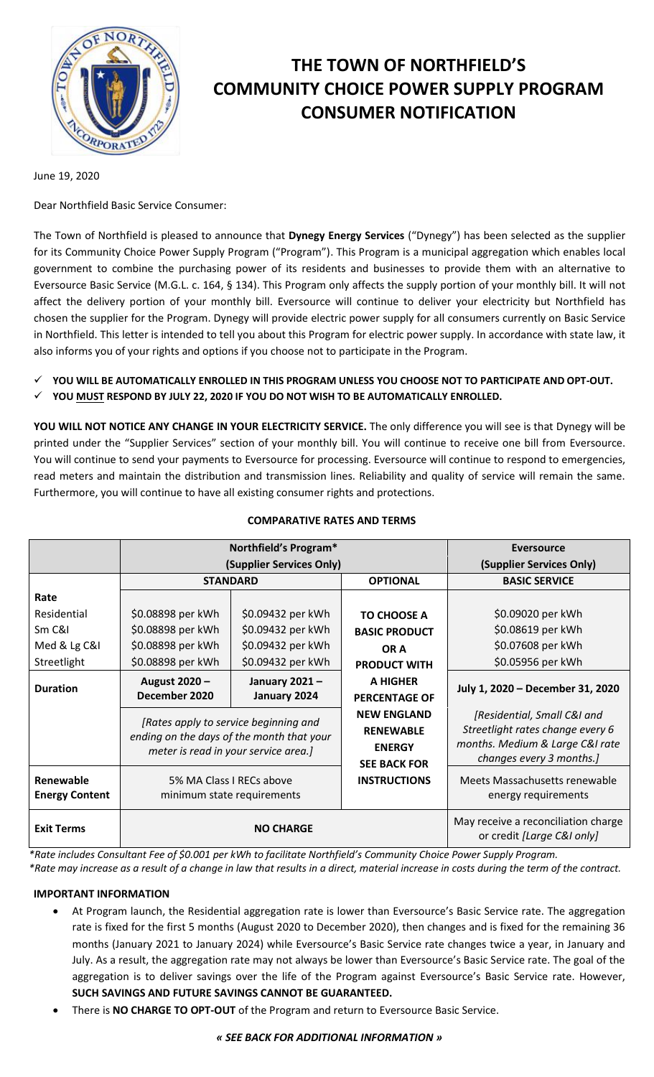

# **THE TOWN OF NORTHFIELD'S COMMUNITY CHOICE POWER SUPPLY PROGRAM CONSUMER NOTIFICATION**

June 19, 2020

Dear Northfield Basic Service Consumer:

The Town of Northfield is pleased to announce that **Dynegy Energy Services** ("Dynegy") has been selected as the supplier for its Community Choice Power Supply Program ("Program"). This Program is a municipal aggregation which enables local government to combine the purchasing power of its residents and businesses to provide them with an alternative to Eversource Basic Service (M.G.L. c. 164, § 134). This Program only affects the supply portion of your monthly bill. It will not affect the delivery portion of your monthly bill. Eversource will continue to deliver your electricity but Northfield has chosen the supplier for the Program. Dynegy will provide electric power supply for all consumers currently on Basic Service in Northfield. This letter is intended to tell you about this Program for electric power supply. In accordance with state law, it also informs you of your rights and options if you choose not to participate in the Program.

- **YOU WILL BE AUTOMATICALLY ENROLLED IN THIS PROGRAM UNLESS YOU CHOOSE NOT TO PARTICIPATE AND OPT-OUT.**
- **YOU MUST RESPOND BY JULY 22, 2020 IF YOU DO NOT WISH TO BE AUTOMATICALLY ENROLLED.**

**YOU WILL NOT NOTICE ANY CHANGE IN YOUR ELECTRICITY SERVICE.** The only difference you will see is that Dynegy will be printed under the "Supplier Services" section of your monthly bill. You will continue to receive one bill from Eversource. You will continue to send your payments to Eversource for processing. Eversource will continue to respond to emergencies, read meters and maintain the distribution and transmission lines. Reliability and quality of service will remain the same. Furthermore, you will continue to have all existing consumer rights and protections.

|                                    | Northfield's Program*                                                                                                      |                   |                                                                                | <b>Eversource</b>                                                                                                              |
|------------------------------------|----------------------------------------------------------------------------------------------------------------------------|-------------------|--------------------------------------------------------------------------------|--------------------------------------------------------------------------------------------------------------------------------|
|                                    | (Supplier Services Only)                                                                                                   |                   |                                                                                | (Supplier Services Only)                                                                                                       |
|                                    | <b>STANDARD</b>                                                                                                            |                   | <b>OPTIONAL</b>                                                                | <b>BASIC SERVICE</b>                                                                                                           |
| Rate                               |                                                                                                                            |                   |                                                                                |                                                                                                                                |
| Residential                        | \$0.08898 per kWh                                                                                                          | \$0.09432 per kWh | <b>TO CHOOSE A</b>                                                             | \$0.09020 per kWh                                                                                                              |
| Sm C&I                             | \$0.08898 per kWh                                                                                                          | \$0.09432 per kWh | <b>BASIC PRODUCT</b>                                                           | \$0.08619 per kWh                                                                                                              |
| Med & Lg C&I                       | \$0.08898 per kWh                                                                                                          | \$0.09432 per kWh | OR A                                                                           | \$0.07608 per kWh                                                                                                              |
| Streetlight                        | \$0.08898 per kWh                                                                                                          | \$0.09432 per kWh | <b>PRODUCT WITH</b>                                                            | \$0.05956 per kWh                                                                                                              |
| <b>Duration</b>                    | August 2020 -                                                                                                              | January 2021-     | A HIGHER                                                                       | July 1, 2020 - December 31, 2020                                                                                               |
|                                    | December 2020                                                                                                              | January 2024      | <b>PERCENTAGE OF</b>                                                           |                                                                                                                                |
|                                    | [Rates apply to service beginning and<br>ending on the days of the month that your<br>meter is read in your service area.] |                   | <b>NEW ENGLAND</b><br><b>RENEWABLE</b><br><b>ENERGY</b><br><b>SEE BACK FOR</b> | [Residential, Small C&I and<br>Streetlight rates change every 6<br>months. Medium & Large C&I rate<br>changes every 3 months.] |
| Renewable<br><b>Energy Content</b> | 5% MA Class I RECs above<br>minimum state requirements                                                                     |                   | <b>INSTRUCTIONS</b>                                                            | Meets Massachusetts renewable<br>energy requirements                                                                           |
| <b>Exit Terms</b>                  | <b>NO CHARGE</b>                                                                                                           |                   |                                                                                | May receive a reconciliation charge<br>or credit [Large C&I only]                                                              |

## **COMPARATIVE RATES AND TERMS**

*\*Rate includes Consultant Fee of \$0.001 per kWh to facilitate Northfield's Community Choice Power Supply Program.*

*\*Rate may increase as a result of a change in law that results in a direct, material increase in costs during the term of the contract.*

## **IMPORTANT INFORMATION**

- At Program launch, the Residential aggregation rate is lower than Eversource's Basic Service rate. The aggregation rate is fixed for the first 5 months (August 2020 to December 2020), then changes and is fixed for the remaining 36 months (January 2021 to January 2024) while Eversource's Basic Service rate changes twice a year, in January and July. As a result, the aggregation rate may not always be lower than Eversource's Basic Service rate. The goal of the aggregation is to deliver savings over the life of the Program against Eversource's Basic Service rate. However, **SUCH SAVINGS AND FUTURE SAVINGS CANNOT BE GUARANTEED.**
- There is **NO CHARGE TO OPT-OUT** of the Program and return to Eversource Basic Service.